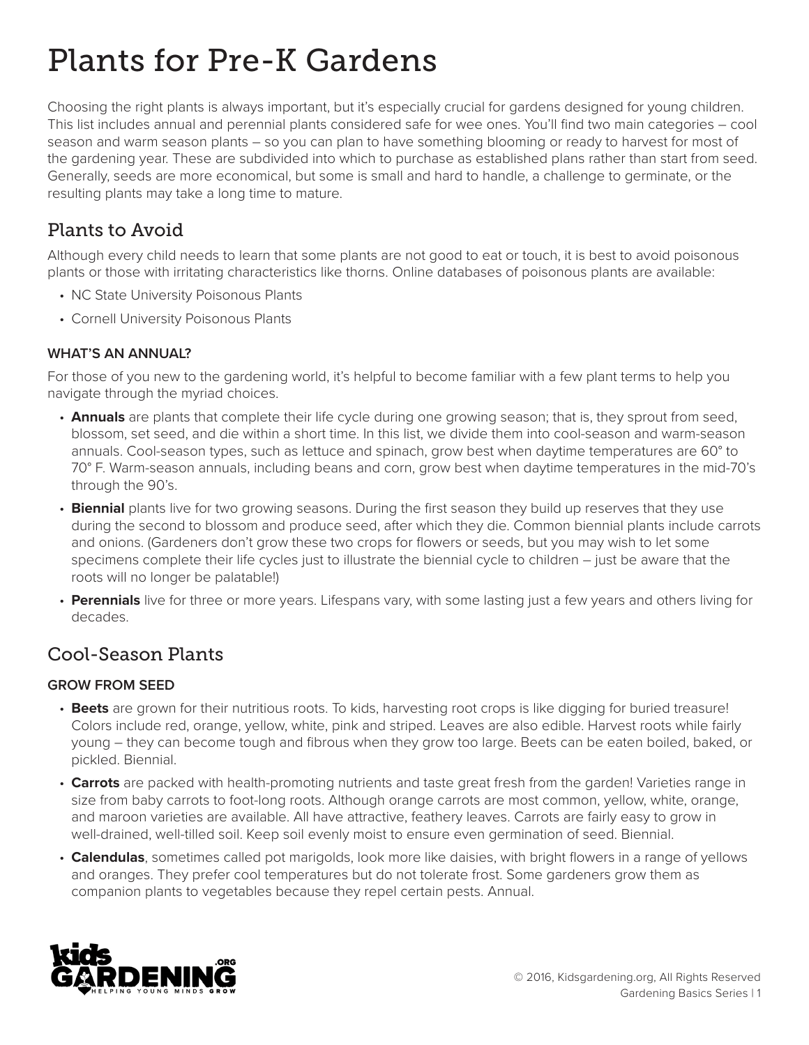# Plants for Pre-K Gardens

Choosing the right plants is always important, but it's especially crucial for gardens designed for young children. This list includes annual and perennial plants considered safe for wee ones. You'll find two main categories – cool season and warm season plants – so you can plan to have something blooming or ready to harvest for most of the gardening year. These are subdivided into which to purchase as established plans rather than start from seed. Generally, seeds are more economical, but some is small and hard to handle, a challenge to germinate, or the resulting plants may take a long time to mature.

# Plants to Avoid

Although every child needs to learn that some plants are not good to eat or touch, it is best to avoid poisonous plants or those with irritating characteristics like thorns. Online databases of poisonous plants are available:

- NC State University Poisonous Plants
- Cornell University Poisonous Plants

#### **WHAT'S AN ANNUAL?**

For those of you new to the gardening world, it's helpful to become familiar with a few plant terms to help you navigate through the myriad choices.

- **Annuals** are plants that complete their life cycle during one growing season; that is, they sprout from seed, blossom, set seed, and die within a short time. In this list, we divide them into cool-season and warm-season annuals. Cool-season types, such as lettuce and spinach, grow best when daytime temperatures are 60° to 70° F. Warm-season annuals, including beans and corn, grow best when daytime temperatures in the mid-70's through the 90's.
- **Biennial** plants live for two growing seasons. During the first season they build up reserves that they use during the second to blossom and produce seed, after which they die. Common biennial plants include carrots and onions. (Gardeners don't grow these two crops for flowers or seeds, but you may wish to let some specimens complete their life cycles just to illustrate the biennial cycle to children – just be aware that the roots will no longer be palatable!)
- **Perennials** live for three or more years. Lifespans vary, with some lasting just a few years and others living for decades.

### Cool-Season Plants

#### **GROW FROM SEED**

- **Beets** are grown for their nutritious roots. To kids, harvesting root crops is like digging for buried treasure! Colors include red, orange, yellow, white, pink and striped. Leaves are also edible. Harvest roots while fairly young – they can become tough and fibrous when they grow too large. Beets can be eaten boiled, baked, or pickled. Biennial.
- **Carrots** are packed with health-promoting nutrients and taste great fresh from the garden! Varieties range in size from baby carrots to foot-long roots. Although orange carrots are most common, yellow, white, orange, and maroon varieties are available. All have attractive, feathery leaves. Carrots are fairly easy to grow in well-drained, well-tilled soil. Keep soil evenly moist to ensure even germination of seed. Biennial.
- **Calendulas**, sometimes called pot marigolds, look more like daisies, with bright flowers in a range of yellows and oranges. They prefer cool temperatures but do not tolerate frost. Some gardeners grow them as companion plants to vegetables because they repel certain pests. Annual.

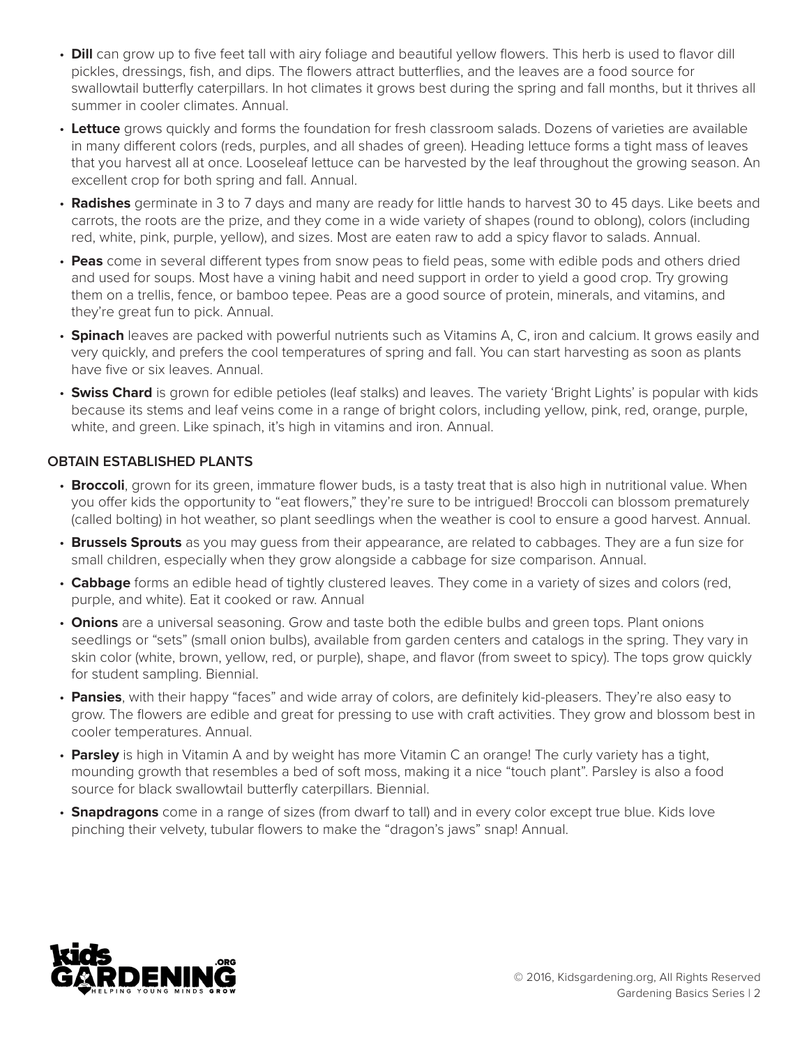- **Dill** can grow up to five feet tall with airy foliage and beautiful yellow flowers. This herb is used to flavor dill pickles, dressings, fish, and dips. The flowers attract butterflies, and the leaves are a food source for swallowtail butterfly caterpillars. In hot climates it grows best during the spring and fall months, but it thrives all summer in cooler climates. Annual.
- **Lettuce** grows quickly and forms the foundation for fresh classroom salads. Dozens of varieties are available in many different colors (reds, purples, and all shades of green). Heading lettuce forms a tight mass of leaves that you harvest all at once. Looseleaf lettuce can be harvested by the leaf throughout the growing season. An excellent crop for both spring and fall. Annual.
- **Radishes** germinate in 3 to 7 days and many are ready for little hands to harvest 30 to 45 days. Like beets and carrots, the roots are the prize, and they come in a wide variety of shapes (round to oblong), colors (including red, white, pink, purple, yellow), and sizes. Most are eaten raw to add a spicy flavor to salads. Annual.
- **Peas** come in several different types from snow peas to field peas, some with edible pods and others dried and used for soups. Most have a vining habit and need support in order to yield a good crop. Try growing them on a trellis, fence, or bamboo tepee. Peas are a good source of protein, minerals, and vitamins, and they're great fun to pick. Annual.
- **Spinach** leaves are packed with powerful nutrients such as Vitamins A, C, iron and calcium. It grows easily and very quickly, and prefers the cool temperatures of spring and fall. You can start harvesting as soon as plants have five or six leaves. Annual.
- **Swiss Chard** is grown for edible petioles (leaf stalks) and leaves. The variety 'Bright Lights' is popular with kids because its stems and leaf veins come in a range of bright colors, including yellow, pink, red, orange, purple, white, and green. Like spinach, it's high in vitamins and iron. Annual.

#### **OBTAIN ESTABLISHED PLANTS**

- **Broccoli**, grown for its green, immature flower buds, is a tasty treat that is also high in nutritional value. When you offer kids the opportunity to "eat flowers," they're sure to be intrigued! Broccoli can blossom prematurely (called bolting) in hot weather, so plant seedlings when the weather is cool to ensure a good harvest. Annual.
- **Brussels Sprouts** as you may guess from their appearance, are related to cabbages. They are a fun size for small children, especially when they grow alongside a cabbage for size comparison. Annual.
- **Cabbage** forms an edible head of tightly clustered leaves. They come in a variety of sizes and colors (red, purple, and white). Eat it cooked or raw. Annual
- **Onions** are a universal seasoning. Grow and taste both the edible bulbs and green tops. Plant onions seedlings or "sets" (small onion bulbs), available from garden centers and catalogs in the spring. They vary in skin color (white, brown, yellow, red, or purple), shape, and flavor (from sweet to spicy). The tops grow quickly for student sampling. Biennial.
- **Pansies**, with their happy "faces" and wide array of colors, are definitely kid-pleasers. They're also easy to grow. The flowers are edible and great for pressing to use with craft activities. They grow and blossom best in cooler temperatures. Annual.
- **Parsley** is high in Vitamin A and by weight has more Vitamin C an orange! The curly variety has a tight, mounding growth that resembles a bed of soft moss, making it a nice "touch plant". Parsley is also a food source for black swallowtail butterfly caterpillars. Biennial.
- **Snapdragons** come in a range of sizes (from dwarf to tall) and in every color except true blue. Kids love pinching their velvety, tubular flowers to make the "dragon's jaws" snap! Annual.

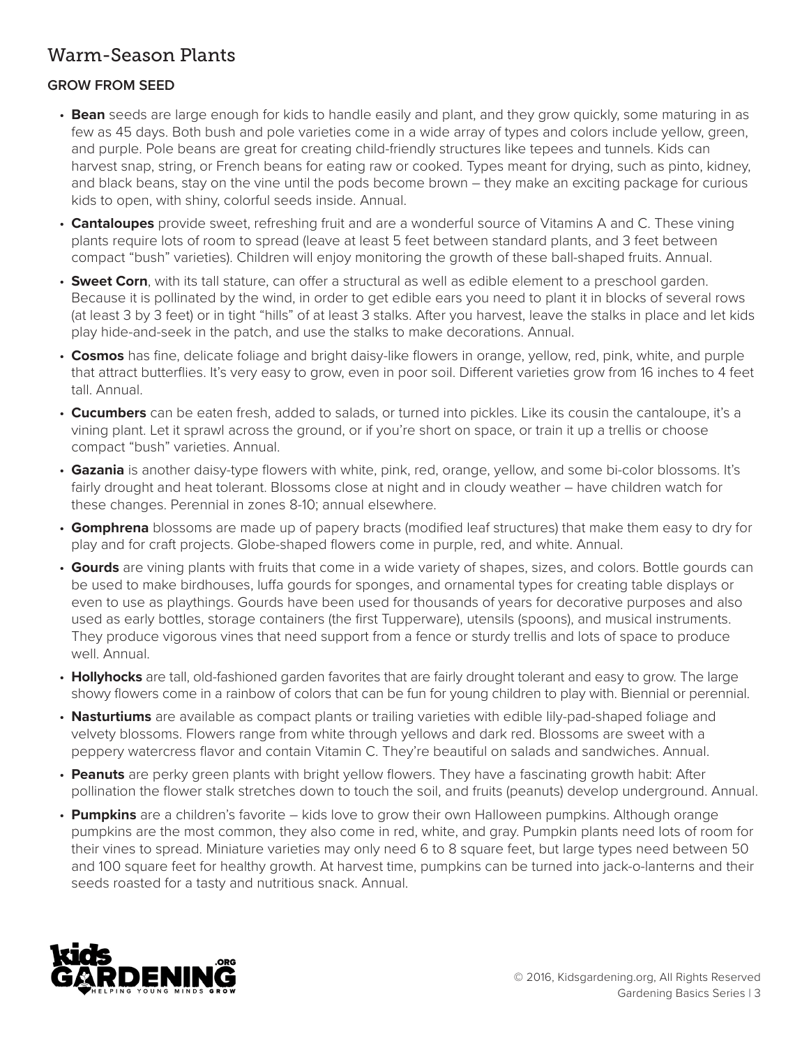## Warm-Season Plants

#### **GROW FROM SEED**

- **Bean** seeds are large enough for kids to handle easily and plant, and they grow quickly, some maturing in as few as 45 days. Both bush and pole varieties come in a wide array of types and colors include yellow, green, and purple. Pole beans are great for creating child-friendly structures like tepees and tunnels. Kids can harvest snap, string, or French beans for eating raw or cooked. Types meant for drying, such as pinto, kidney, and black beans, stay on the vine until the pods become brown – they make an exciting package for curious kids to open, with shiny, colorful seeds inside. Annual.
- **Cantaloupes** provide sweet, refreshing fruit and are a wonderful source of Vitamins A and C. These vining plants require lots of room to spread (leave at least 5 feet between standard plants, and 3 feet between compact "bush" varieties). Children will enjoy monitoring the growth of these ball-shaped fruits. Annual.
- **Sweet Corn**, with its tall stature, can offer a structural as well as edible element to a preschool garden. Because it is pollinated by the wind, in order to get edible ears you need to plant it in blocks of several rows (at least 3 by 3 feet) or in tight "hills" of at least 3 stalks. After you harvest, leave the stalks in place and let kids play hide-and-seek in the patch, and use the stalks to make decorations. Annual.
- **Cosmos** has fine, delicate foliage and bright daisy-like flowers in orange, yellow, red, pink, white, and purple that attract butterflies. It's very easy to grow, even in poor soil. Different varieties grow from 16 inches to 4 feet tall. Annual.
- **Cucumbers** can be eaten fresh, added to salads, or turned into pickles. Like its cousin the cantaloupe, it's a vining plant. Let it sprawl across the ground, or if you're short on space, or train it up a trellis or choose compact "bush" varieties. Annual.
- **Gazania** is another daisy-type flowers with white, pink, red, orange, yellow, and some bi-color blossoms. It's fairly drought and heat tolerant. Blossoms close at night and in cloudy weather – have children watch for these changes. Perennial in zones 8-10; annual elsewhere.
- **Gomphrena** blossoms are made up of papery bracts (modified leaf structures) that make them easy to dry for play and for craft projects. Globe-shaped flowers come in purple, red, and white. Annual.
- **Gourds** are vining plants with fruits that come in a wide variety of shapes, sizes, and colors. Bottle gourds can be used to make birdhouses, luffa gourds for sponges, and ornamental types for creating table displays or even to use as playthings. Gourds have been used for thousands of years for decorative purposes and also used as early bottles, storage containers (the first Tupperware), utensils (spoons), and musical instruments. They produce vigorous vines that need support from a fence or sturdy trellis and lots of space to produce well. Annual.
- **Hollyhocks** are tall, old-fashioned garden favorites that are fairly drought tolerant and easy to grow. The large showy flowers come in a rainbow of colors that can be fun for young children to play with. Biennial or perennial.
- **Nasturtiums** are available as compact plants or trailing varieties with edible lily-pad-shaped foliage and velvety blossoms. Flowers range from white through yellows and dark red. Blossoms are sweet with a peppery watercress flavor and contain Vitamin C. They're beautiful on salads and sandwiches. Annual.
- **Peanuts** are perky green plants with bright yellow flowers. They have a fascinating growth habit: After pollination the flower stalk stretches down to touch the soil, and fruits (peanuts) develop underground. Annual.
- **Pumpkins** are a children's favorite kids love to grow their own Halloween pumpkins. Although orange pumpkins are the most common, they also come in red, white, and gray. Pumpkin plants need lots of room for their vines to spread. Miniature varieties may only need 6 to 8 square feet, but large types need between 50 and 100 square feet for healthy growth. At harvest time, pumpkins can be turned into jack-o-lanterns and their seeds roasted for a tasty and nutritious snack. Annual.

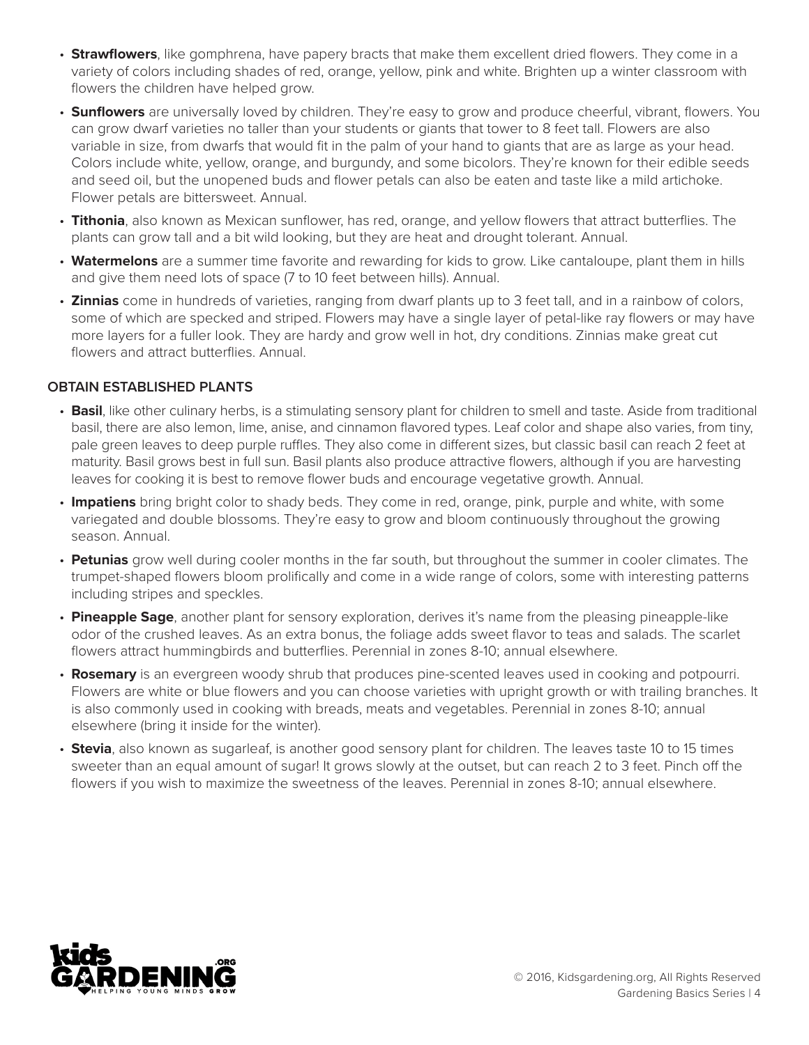- **Strawflowers**, like gomphrena, have papery bracts that make them excellent dried flowers. They come in a variety of colors including shades of red, orange, yellow, pink and white. Brighten up a winter classroom with flowers the children have helped grow.
- **Sunflowers** are universally loved by children. They're easy to grow and produce cheerful, vibrant, flowers. You can grow dwarf varieties no taller than your students or giants that tower to 8 feet tall. Flowers are also variable in size, from dwarfs that would fit in the palm of your hand to giants that are as large as your head. Colors include white, yellow, orange, and burgundy, and some bicolors. They're known for their edible seeds and seed oil, but the unopened buds and flower petals can also be eaten and taste like a mild artichoke. Flower petals are bittersweet. Annual.
- **Tithonia**, also known as Mexican sunflower, has red, orange, and yellow flowers that attract butterflies. The plants can grow tall and a bit wild looking, but they are heat and drought tolerant. Annual.
- **Watermelons** are a summer time favorite and rewarding for kids to grow. Like cantaloupe, plant them in hills and give them need lots of space (7 to 10 feet between hills). Annual.
- **Zinnias** come in hundreds of varieties, ranging from dwarf plants up to 3 feet tall, and in a rainbow of colors, some of which are specked and striped. Flowers may have a single layer of petal-like ray flowers or may have more layers for a fuller look. They are hardy and grow well in hot, dry conditions. Zinnias make great cut flowers and attract butterflies. Annual.

#### **OBTAIN ESTABLISHED PLANTS**

- **Basil**, like other culinary herbs, is a stimulating sensory plant for children to smell and taste. Aside from traditional basil, there are also lemon, lime, anise, and cinnamon flavored types. Leaf color and shape also varies, from tiny, pale green leaves to deep purple ruffles. They also come in different sizes, but classic basil can reach 2 feet at maturity. Basil grows best in full sun. Basil plants also produce attractive flowers, although if you are harvesting leaves for cooking it is best to remove flower buds and encourage vegetative growth. Annual.
- **Impatiens** bring bright color to shady beds. They come in red, orange, pink, purple and white, with some variegated and double blossoms. They're easy to grow and bloom continuously throughout the growing season. Annual.
- **Petunias** grow well during cooler months in the far south, but throughout the summer in cooler climates. The trumpet-shaped flowers bloom prolifically and come in a wide range of colors, some with interesting patterns including stripes and speckles.
- **Pineapple Sage**, another plant for sensory exploration, derives it's name from the pleasing pineapple-like odor of the crushed leaves. As an extra bonus, the foliage adds sweet flavor to teas and salads. The scarlet flowers attract hummingbirds and butterflies. Perennial in zones 8-10; annual elsewhere.
- **Rosemary** is an evergreen woody shrub that produces pine-scented leaves used in cooking and potpourri. Flowers are white or blue flowers and you can choose varieties with upright growth or with trailing branches. It is also commonly used in cooking with breads, meats and vegetables. Perennial in zones 8-10; annual elsewhere (bring it inside for the winter).
- **Stevia**, also known as sugarleaf, is another good sensory plant for children. The leaves taste 10 to 15 times sweeter than an equal amount of sugar! It grows slowly at the outset, but can reach 2 to 3 feet. Pinch off the flowers if you wish to maximize the sweetness of the leaves. Perennial in zones 8-10; annual elsewhere.

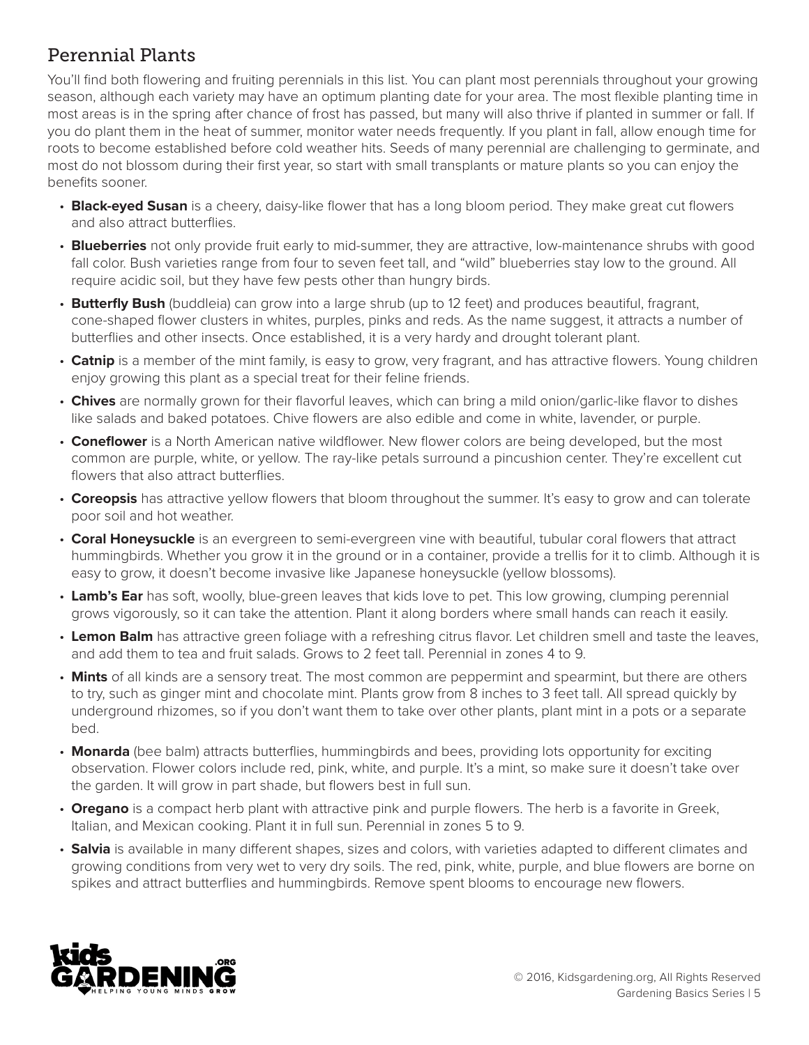# Perennial Plants

You'll find both flowering and fruiting perennials in this list. You can plant most perennials throughout your growing season, although each variety may have an optimum planting date for your area. The most flexible planting time in most areas is in the spring after chance of frost has passed, but many will also thrive if planted in summer or fall. If you do plant them in the heat of summer, monitor water needs frequently. If you plant in fall, allow enough time for roots to become established before cold weather hits. Seeds of many perennial are challenging to germinate, and most do not blossom during their first year, so start with small transplants or mature plants so you can enjoy the benefits sooner.

- **Black-eyed Susan** is a cheery, daisy-like flower that has a long bloom period. They make great cut flowers and also attract butterflies.
- **Blueberries** not only provide fruit early to mid-summer, they are attractive, low-maintenance shrubs with good fall color. Bush varieties range from four to seven feet tall, and "wild" blueberries stay low to the ground. All require acidic soil, but they have few pests other than hungry birds.
- **Butterfly Bush** (buddleia) can grow into a large shrub (up to 12 feet) and produces beautiful, fragrant, cone-shaped flower clusters in whites, purples, pinks and reds. As the name suggest, it attracts a number of butterflies and other insects. Once established, it is a very hardy and drought tolerant plant.
- **Catnip** is a member of the mint family, is easy to grow, very fragrant, and has attractive flowers. Young children enjoy growing this plant as a special treat for their feline friends.
- **Chives** are normally grown for their flavorful leaves, which can bring a mild onion/garlic-like flavor to dishes like salads and baked potatoes. Chive flowers are also edible and come in white, lavender, or purple.
- **Coneflower** is a North American native wildflower. New flower colors are being developed, but the most common are purple, white, or yellow. The ray-like petals surround a pincushion center. They're excellent cut flowers that also attract butterflies.
- **Coreopsis** has attractive yellow flowers that bloom throughout the summer. It's easy to grow and can tolerate poor soil and hot weather.
- **Coral Honeysuckle** is an evergreen to semi-evergreen vine with beautiful, tubular coral flowers that attract hummingbirds. Whether you grow it in the ground or in a container, provide a trellis for it to climb. Although it is easy to grow, it doesn't become invasive like Japanese honeysuckle (yellow blossoms).
- **Lamb's Ear** has soft, woolly, blue-green leaves that kids love to pet. This low growing, clumping perennial grows vigorously, so it can take the attention. Plant it along borders where small hands can reach it easily.
- **Lemon Balm** has attractive green foliage with a refreshing citrus flavor. Let children smell and taste the leaves, and add them to tea and fruit salads. Grows to 2 feet tall. Perennial in zones 4 to 9.
- **Mints** of all kinds are a sensory treat. The most common are peppermint and spearmint, but there are others to try, such as ginger mint and chocolate mint. Plants grow from 8 inches to 3 feet tall. All spread quickly by underground rhizomes, so if you don't want them to take over other plants, plant mint in a pots or a separate bed.
- **Monarda** (bee balm) attracts butterflies, hummingbirds and bees, providing lots opportunity for exciting observation. Flower colors include red, pink, white, and purple. It's a mint, so make sure it doesn't take over the garden. It will grow in part shade, but flowers best in full sun.
- **Oregano** is a compact herb plant with attractive pink and purple flowers. The herb is a favorite in Greek, Italian, and Mexican cooking. Plant it in full sun. Perennial in zones 5 to 9.
- **Salvia** is available in many different shapes, sizes and colors, with varieties adapted to different climates and growing conditions from very wet to very dry soils. The red, pink, white, purple, and blue flowers are borne on spikes and attract butterflies and hummingbirds. Remove spent blooms to encourage new flowers.